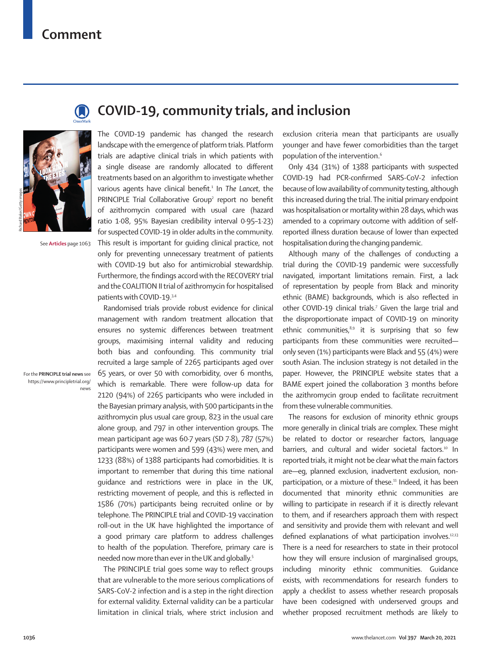## **Comment**





See **Articles** page 1063

For the **PRINCIPLE trial news** see [https://www.principletrial.org/](https://www.principletrial.org/news) [news](https://www.principletrial.org/news)

## **COVID-19, community trials, and inclusion**

The COVID-19 pandemic has changed the research landscape with the emergence of platform trials. Platform trials are adaptive clinical trials in which patients with a single disease are randomly allocated to different treatments based on an algorithm to investigate whether various agents have clinical benefit.1 In *The Lancet*, the PRINCIPLE Trial Collaborative Group<sup>2</sup> report no benefit of azithromycin compared with usual care (hazard ratio 1·08, 95% Bayesian credibility interval 0·95–1·23) for suspected COVID-19 in older adults in the community. This result is important for guiding clinical practice, not only for preventing unnecessary treatment of patients with COVID-19 but also for antimicrobial stewardship. Furthermore, the findings accord with the RECOVERY trial and the COALITION II trial of azithromycin for hospitalised patients with COVID-19.3,4

Randomised trials provide robust evidence for clinical management with random treatment allocation that ensures no systemic differences between treatment groups, maximising internal validity and reducing both bias and confounding. This community trial recruited a large sample of 2265 participants aged over 65 years, or over 50 with comorbidity, over 6 months, which is remarkable. There were follow-up data for 2120 (94%) of 2265 participants who were included in the Bayesian primary analysis, with 500 participants in the azithromycin plus usual care group, 823 in the usual care alone group, and 797 in other intervention groups. The mean participant age was 60·7 years (SD 7·8), 787 (57%) participants were women and 599 (43%) were men, and 1233 (88%) of 1388 participants had comorbidities. It is important to remember that during this time national guidance and restrictions were in place in the UK, restricting movement of people, and this is reflected in 1586 (70%) participants being recruited online or by telephone. The PRINCIPLE trial and COVID-19 vaccination roll-out in the UK have highlighted the importance of a good primary care platform to address challenges to health of the population. Therefore, primary care is needed now more than ever in the UK and globally.<sup>5</sup>

The PRINCIPLE trial goes some way to reflect groups that are vulnerable to the more serious complications of SARS-CoV-2 infection and is a step in the right direction for external validity. External validity can be a particular limitation in clinical trials, where strict inclusion and exclusion criteria mean that participants are usually younger and have fewer comorbidities than the target population of the intervention.<sup>6</sup>

Only 434 (31%) of 1388 participants with suspected COVID-19 had PCR-confirmed SARS-CoV-2 infection because of low availability of community testing, although this increased during the trial. The initial primary endpoint was hospitalisation or mortality within 28 days, which was amended to a coprimary outcome with addition of selfreported illness duration because of lower than expected hospitalisation during the changing pandemic.

Although many of the challenges of conducting a trial during the COVID-19 pandemic were successfully navigated, important limitations remain. First, a lack of representation by people from Black and minority ethnic (BAME) backgrounds, which is also reflected in other COVID-19 clinical trials.<sup>7</sup> Given the large trial and the disproportionate impact of COVID-19 on minority ethnic communities, $8,9$  it is surprising that so few participants from these communities were recruited only seven (1%) participants were Black and 55 (4%) were south Asian. The inclusion strategy is not detailed in the paper. However, the [PRINCIPLE website](https://www.principletrial.org/news) states that a BAME expert joined the collaboration 3 months before the azithromycin group ended to facilitate recruitment from these vulnerable communities.

The reasons for exclusion of minority ethnic groups more generally in clinical trials are complex. These might be related to doctor or researcher factors, language barriers, and cultural and wider societal factors.<sup>10</sup> In reported trials, it might not be clear what the main factors are—eg, planned exclusion, inadvertent exclusion, nonparticipation, or a mixture of these.<sup>11</sup> Indeed, it has been documented that minority ethnic communities are willing to participate in research if it is directly relevant to them, and if researchers approach them with respect and sensitivity and provide them with relevant and well defined explanations of what participation involves.<sup>12,13</sup> There is a need for researchers to state in their protocol how they will ensure inclusion of marginalised groups, including minority ethnic communities. Guidance exists, with recommendations for research funders to apply a checklist to assess whether research proposals have been codesigned with underserved groups and whether proposed recruitment methods are likely to